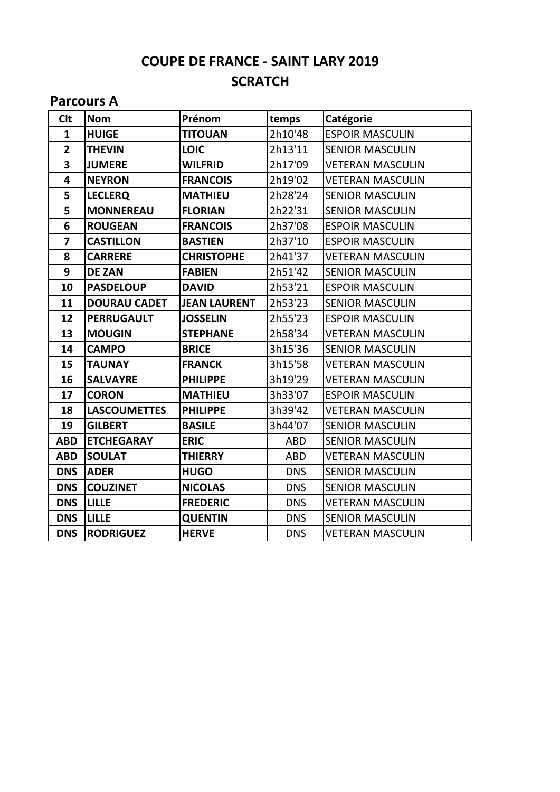# **COUPE DE FRANCE - SAINT LARY 2019 SCRATCH**

#### **Parcours A**

| <b>Clt</b>              | <b>Nom</b>          | Prénom              | temps      | Catégorie               |
|-------------------------|---------------------|---------------------|------------|-------------------------|
| $\mathbf{1}$            | <b>HUIGE</b>        | <b>TITOUAN</b>      | 2h10'48    | <b>ESPOIR MASCULIN</b>  |
| $\overline{2}$          | <b>THEVIN</b>       | <b>LOIC</b>         | 2h13'11    | <b>SENIOR MASCULIN</b>  |
| $\overline{\mathbf{3}}$ | <b>JUMERE</b>       | <b>WILFRID</b>      | 2h17'09    | <b>VETERAN MASCULIN</b> |
| $\overline{\mathbf{4}}$ | <b>NEYRON</b>       | <b>FRANCOIS</b>     | 2h19'02    | <b>VETERAN MASCULIN</b> |
| 5                       | <b>LECLERQ</b>      | <b>MATHIEU</b>      | 2h28'24    | <b>SENIOR MASCULIN</b>  |
| 5                       | <b>MONNEREAU</b>    | <b>FLORIAN</b>      | 2h22'31    | <b>SENIOR MASCULIN</b>  |
| 6                       | <b>ROUGEAN</b>      | <b>FRANCOIS</b>     | 2h37'08    | <b>ESPOIR MASCULIN</b>  |
| $\overline{7}$          | <b>CASTILLON</b>    | <b>BASTIEN</b>      | 2h37'10    | <b>ESPOIR MASCULIN</b>  |
| 8                       | <b>CARRERE</b>      | <b>CHRISTOPHE</b>   | 2h41'37    | <b>VETERAN MASCULIN</b> |
| 9                       | <b>DE ZAN</b>       | <b>FABIEN</b>       | 2h51'42    | <b>SENIOR MASCULIN</b>  |
| 10                      | <b>PASDELOUP</b>    | <b>DAVID</b>        | 2h53'21    | <b>ESPOIR MASCULIN</b>  |
| 11                      | <b>DOURAU CADET</b> | <b>JEAN LAURENT</b> | 2h53'23    | <b>SENIOR MASCULIN</b>  |
| 12                      | <b>PERRUGAULT</b>   | <b>JOSSELIN</b>     | 2h55'23    | <b>ESPOIR MASCULIN</b>  |
| 13                      | <b>MOUGIN</b>       | <b>STEPHANE</b>     | 2h58'34    | <b>VETERAN MASCULIN</b> |
| 14                      | <b>CAMPO</b>        | <b>BRICE</b>        | 3h15'36    | <b>SENIOR MASCULIN</b>  |
| 15                      | <b>TAUNAY</b>       | <b>FRANCK</b>       | 3h15'58    | <b>VETERAN MASCULIN</b> |
| 16                      | <b>SALVAYRE</b>     | <b>PHILIPPE</b>     | 3h19'29    | <b>VETERAN MASCULIN</b> |
| 17                      | <b>CORON</b>        | <b>MATHIEU</b>      | 3h33'07    | <b>ESPOIR MASCULIN</b>  |
| 18                      | <b>LASCOUMETTES</b> | <b>PHILIPPE</b>     | 3h39'42    | <b>VETERAN MASCULIN</b> |
| 19                      | <b>GILBERT</b>      | <b>BASILE</b>       | 3h44'07    | <b>SENIOR MASCULIN</b>  |
| <b>ABD</b>              | <b>ETCHEGARAY</b>   | <b>ERIC</b>         | <b>ABD</b> | <b>SENIOR MASCULIN</b>  |
| <b>ABD</b>              | <b>SOULAT</b>       | <b>THIERRY</b>      | <b>ABD</b> | <b>VETERAN MASCULIN</b> |
| <b>DNS</b>              | <b>ADER</b>         | <b>HUGO</b>         | <b>DNS</b> | <b>SENIOR MASCULIN</b>  |
| <b>DNS</b>              | <b>COUZINET</b>     | <b>NICOLAS</b>      | <b>DNS</b> | <b>SENIOR MASCULIN</b>  |
| <b>DNS</b>              | <b>LILLE</b>        | <b>FREDERIC</b>     | <b>DNS</b> | <b>VETERAN MASCULIN</b> |
| <b>DNS</b>              | <b>LILLE</b>        | <b>QUENTIN</b>      | <b>DNS</b> | <b>SENIOR MASCULIN</b>  |
| <b>DNS</b>              | <b>RODRIGUEZ</b>    | <b>HERVE</b>        | <b>DNS</b> | <b>VETERAN MASCULIN</b> |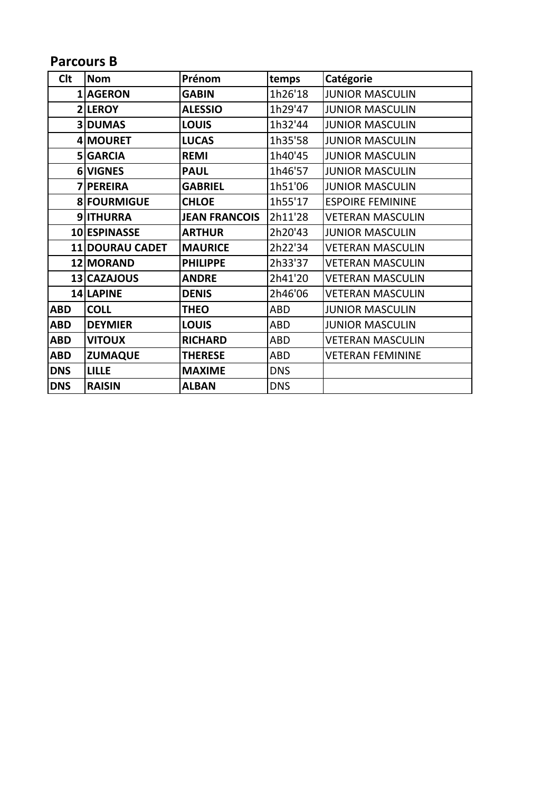## **Parcours B**

| <b>Clt</b> | <b>Nom</b>             | Prénom               | temps      | Catégorie               |
|------------|------------------------|----------------------|------------|-------------------------|
|            | 1 AGERON               | <b>GABIN</b>         | 1h26'18    | <b>JUNIOR MASCULIN</b>  |
|            | <b>2 LEROY</b>         | <b>ALESSIO</b>       | 1h29'47    | <b>JUNIOR MASCULIN</b>  |
|            | <b>3 DUMAS</b>         | <b>LOUIS</b>         | 1h32'44    | <b>JUNIOR MASCULIN</b>  |
|            | 4 MOURET               | <b>LUCAS</b>         | 1h35'58    | <b>JUNIOR MASCULIN</b>  |
|            | 5 GARCIA               | <b>REMI</b>          | 1h40'45    | <b>JUNIOR MASCULIN</b>  |
|            | 6 VIGNES               | <b>PAUL</b>          | 1h46'57    | <b>JUNIOR MASCULIN</b>  |
|            | 7 PEREIRA              | <b>GABRIEL</b>       | 1h51'06    | <b>JUNIOR MASCULIN</b>  |
|            | 8 FOURMIGUE            | <b>CHLOE</b>         | 1h55'17    | <b>ESPOIRE FEMININE</b> |
|            | 9ITHURRA               | <b>JEAN FRANCOIS</b> | 2h11'28    | <b>VETERAN MASCULIN</b> |
|            | 10 ESPINASSE           | <b>ARTHUR</b>        | 2h20'43    | <b>JUNIOR MASCULIN</b>  |
|            | <b>11 DOURAU CADET</b> | <b>MAURICE</b>       | 2h22'34    | <b>VETERAN MASCULIN</b> |
|            | 12 MORAND              | <b>PHILIPPE</b>      | 2h33'37    | <b>VETERAN MASCULIN</b> |
|            | 13 CAZAJOUS            | <b>ANDRE</b>         | 2h41'20    | VETERAN MASCULIN        |
|            | 14 LAPINE              | <b>DENIS</b>         | 2h46'06    | <b>VETERAN MASCULIN</b> |
| <b>ABD</b> | <b>COLL</b>            | <b>THEO</b>          | ABD        | <b>JUNIOR MASCULIN</b>  |
| <b>ABD</b> | <b>DEYMIER</b>         | <b>LOUIS</b>         | ABD        | <b>JUNIOR MASCULIN</b>  |
| <b>ABD</b> | <b>VITOUX</b>          | <b>RICHARD</b>       | ABD        | <b>VETERAN MASCULIN</b> |
| <b>ABD</b> | <b>ZUMAQUE</b>         | <b>THERESE</b>       | ABD        | <b>VETERAN FEMININE</b> |
| <b>DNS</b> | <b>LILLE</b>           | <b>MAXIME</b>        | <b>DNS</b> |                         |
| <b>DNS</b> | <b>RAISIN</b>          | <b>ALBAN</b>         | <b>DNS</b> |                         |